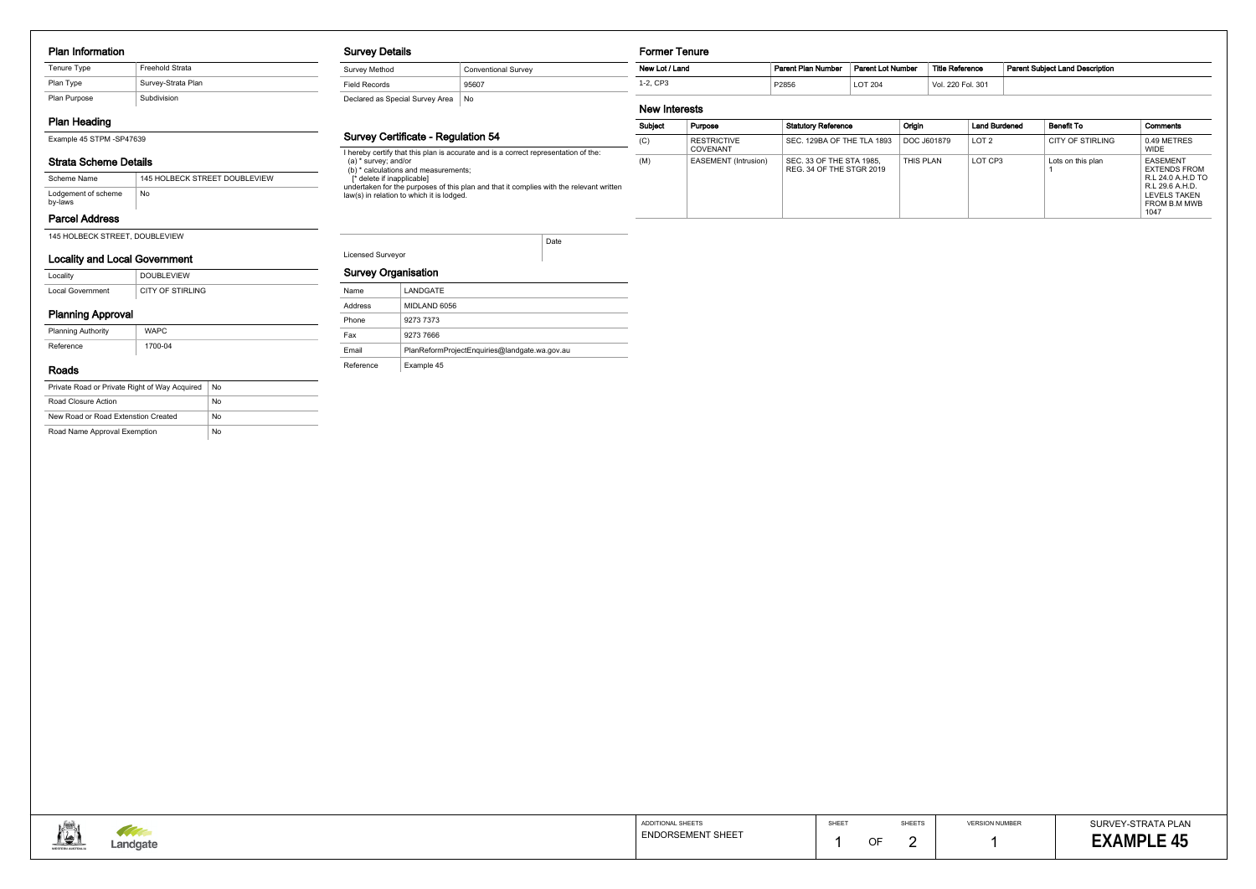#### Plan Information

| Tenure Type  | <b>Freehold Strata</b> |
|--------------|------------------------|
| Plan Type    | Survey-Strata Plan     |
| Plan Purpose | Subdivision            |

# Plan Heading

Example 45 STPM -SP47639

# Strata Scheme Details

# Parcel Address

145 HOLBECK STREET, DOUBLEVIEW

| Scheme Name                    | 145 HOLBECK STREET DOUBLEVIEW |
|--------------------------------|-------------------------------|
| Lodgement of scheme<br>by-laws | No                            |

## Locality and Local Government

| Locality         | <b>DOUBLEVIEW</b> |
|------------------|-------------------|
| Local Government | CITY OF STIRLING  |

# Planning Approval

| <b>Planning Authority</b> | <b>WAPC</b> |  |
|---------------------------|-------------|--|
| Reference                 | 1700-04     |  |

#### Roads

| Private Road or Private Right of Way Acquired | No |
|-----------------------------------------------|----|
| Road Closure Action                           | No |
| New Road or Road Extenstion Created           | No |
| Road Name Approval Exemption                  | No |

#### Survey Details

| <b>Survey Method</b>            | <b>Conventional Survey</b> |
|---------------------------------|----------------------------|
| Field Records                   | 95607                      |
| Declared as Special Survey Area | No                         |

## Survey Certificate - Regulation 54

I hereby certify that this plan is accurate and is a correct representation of the: (a) \* survey; and/or (b) \* calculations and measurements; [\* delete if inapplicable] undertaken for the purposes of this plan and that it complies with the relevant written law(s) in relation to which it is lodged.

Licensed Surveyor

Date

#### Survey Organisation

## Former Tenure

## New Interests

| Subject | Purpose                        | <b>Statutory Reference</b>                           | <b>Origin</b> | <b>Land Burdened</b> | <b>Benefit To</b>       | Comments                                                                                                               |
|---------|--------------------------------|------------------------------------------------------|---------------|----------------------|-------------------------|------------------------------------------------------------------------------------------------------------------------|
| (C)     | <b>RESTRICTIVE</b><br>COVENANT | SEC. 129BA OF THE TLA 1893                           | DOC J601879   | LOT <sub>2</sub>     | <b>CITY OF STIRLING</b> | 0.49 METRES<br><b>WIDE</b>                                                                                             |
| (M)     | EASEMENT (Intrusion)           | SEC. 33 OF THE STA 1985.<br>REG. 34 OF THE STGR 2019 | THIS PLAN     | LOT CP3              | Lots on this plan       | <b>EASEMENT</b><br><b>EXTENDS FROM</b><br>R.L 24.0 A.H.D TO<br>R.L 29.6 A.H.D.<br>LEVELS TAKEN<br>FROM B.M MWB<br>1047 |

| New Lot / Land | Parent Plan Number | Parent Lot Number | Title Reference   | <b>Parent Subiect Land Description</b> |
|----------------|--------------------|-------------------|-------------------|----------------------------------------|
| 1-2. CP3       | P2856              | LOT 204           | Vol. 220 Fol. 301 |                                        |

|                                                              | ADDITIONAL SHEETS        | SHEET |    | <b>SHEETS</b> |
|--------------------------------------------------------------|--------------------------|-------|----|---------------|
| <b>The Company of the Company of the Company</b><br>Landgate | <b>ENDORSEMENT SHEET</b> |       | OF |               |

| Name      | LANDGATE                                      |
|-----------|-----------------------------------------------|
| Address   | MIDLAND 6056                                  |
| Phone     | 9273 7373                                     |
| Fax       | 9273 7666                                     |
| Email     | PlanReformProjectEnquiries@landgate.wa.gov.au |
| Reference | Example 45                                    |